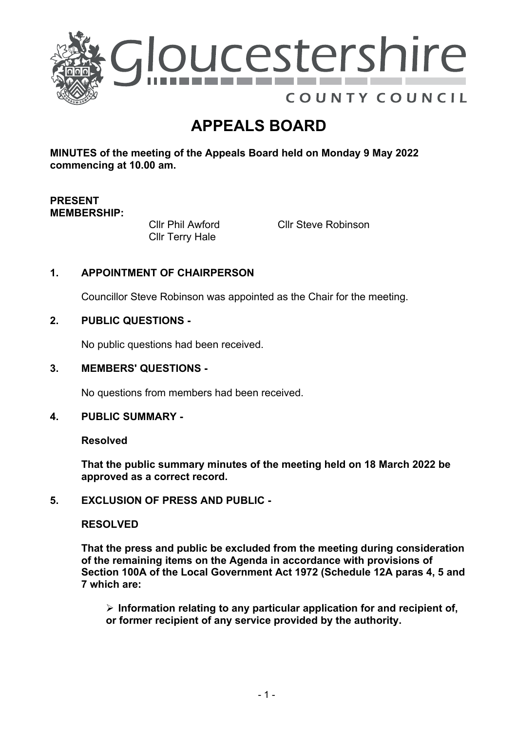

# **APPEALS BOARD**

**MINUTES of the meeting of the Appeals Board held on Monday 9 May 2022 commencing at 10.00 am.**

## **PRESENT MEMBERSHIP:**

Cllr Phil Awford Cllr Terry Hale

Cllr Steve Robinson

# **1. APPOINTMENT OF CHAIRPERSON**

Councillor Steve Robinson was appointed as the Chair for the meeting.

## **2. PUBLIC QUESTIONS -**

No public questions had been received.

#### **3. MEMBERS' QUESTIONS -**

No questions from members had been received.

#### **4. PUBLIC SUMMARY -**

**Resolved**

**That the public summary minutes of the meeting held on 18 March 2022 be approved as a correct record.**

#### **5. EXCLUSION OF PRESS AND PUBLIC -**

#### **RESOLVED**

**That the press and public be excluded from the meeting during consideration of the remaining items on the Agenda in accordance with provisions of Section 100A of the Local Government Act 1972 (Schedule 12A paras 4, 5 and 7 which are:**

 **Information relating to any particular application for and recipient of, or former recipient of any service provided by the authority.**